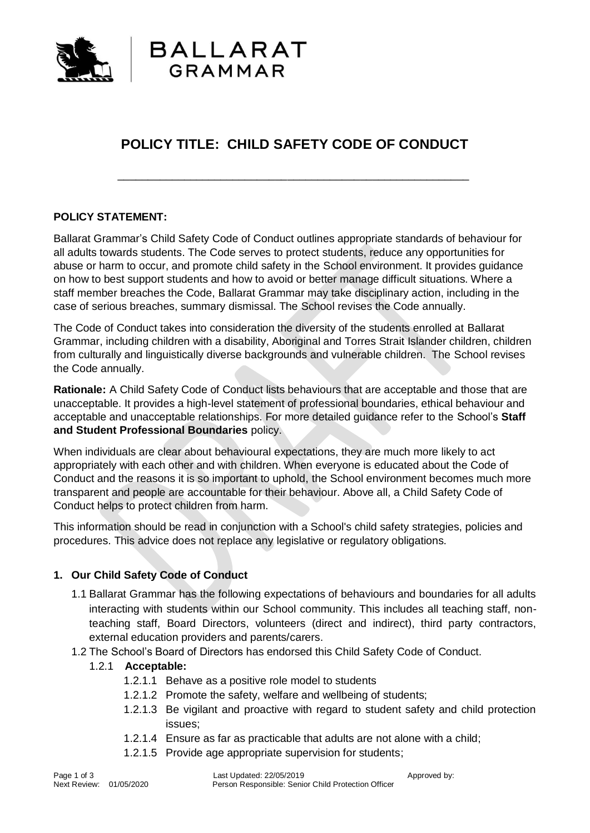

# **POLICY TITLE: CHILD SAFETY CODE OF CONDUCT**

\_\_\_\_\_\_\_\_\_\_\_\_\_\_\_\_\_\_\_\_\_\_\_\_\_\_\_\_\_\_\_\_\_\_\_\_\_\_\_\_\_\_\_\_\_\_\_\_\_\_\_\_\_\_\_\_\_\_

## **POLICY STATEMENT:**

Ballarat Grammar's Child Safety Code of Conduct outlines appropriate standards of behaviour for all adults towards students. The Code serves to protect students, reduce any opportunities for abuse or harm to occur, and promote child safety in the School environment. It provides guidance on how to best support students and how to avoid or better manage difficult situations. Where a staff member breaches the Code, Ballarat Grammar may take disciplinary action, including in the case of serious breaches, summary dismissal. The School revises the Code annually.

The Code of Conduct takes into consideration the diversity of the students enrolled at Ballarat Grammar, including children with a disability, Aboriginal and Torres Strait Islander children, children from culturally and linguistically diverse backgrounds and vulnerable children. The School revises the Code annually.

**Rationale:** A Child Safety Code of Conduct lists behaviours that are acceptable and those that are unacceptable. It provides a high-level statement of professional boundaries, ethical behaviour and acceptable and unacceptable relationships. For more detailed guidance refer to the School's **Staff and Student Professional Boundaries** policy.

When individuals are clear about behavioural expectations, they are much more likely to act appropriately with each other and with children. When everyone is educated about the Code of Conduct and the reasons it is so important to uphold, the School environment becomes much more transparent and people are accountable for their behaviour. Above all, a Child Safety Code of Conduct helps to protect children from harm.

This information should be read in conjunction with a School's child safety strategies, policies and procedures. This advice does not replace any legislative or regulatory obligations.

### **1. Our Child Safety Code of Conduct**

- 1.1 Ballarat Grammar has the following expectations of behaviours and boundaries for all adults interacting with students within our School community. This includes all teaching staff, nonteaching staff, Board Directors, volunteers (direct and indirect), third party contractors, external education providers and parents/carers.
- 1.2 The School's Board of Directors has endorsed this Child Safety Code of Conduct.

### 1.2.1 **Acceptable:**

- 1.2.1.1 Behave as a positive role model to students
- 1.2.1.2 Promote the safety, welfare and wellbeing of students;
- 1.2.1.3 Be vigilant and proactive with regard to student safety and child protection issues;
- 1.2.1.4 Ensure as far as practicable that adults are not alone with a child;
- 1.2.1.5 Provide age appropriate supervision for students;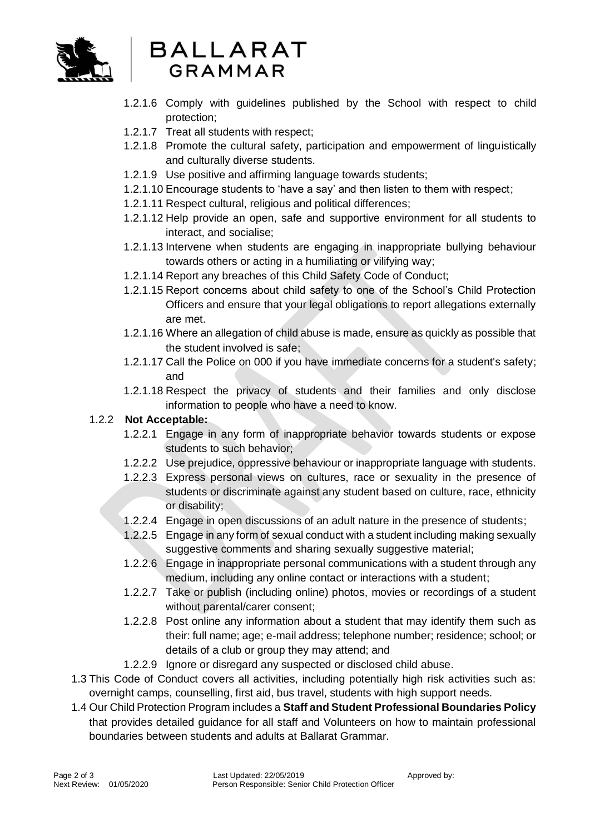

# **BALLARAT** GRAMMAR

- 1.2.1.6 Comply with guidelines published by the School with respect to child protection;
- 1.2.1.7 Treat all students with respect;
- 1.2.1.8 Promote the cultural safety, participation and empowerment of linguistically and culturally diverse students.
- 1.2.1.9 Use positive and affirming language towards students;
- 1.2.1.10 Encourage students to 'have a say' and then listen to them with respect;
- 1.2.1.11 Respect cultural, religious and political differences;
- 1.2.1.12 Help provide an open, safe and supportive environment for all students to interact, and socialise;
- 1.2.1.13 Intervene when students are engaging in inappropriate bullying behaviour towards others or acting in a humiliating or vilifying way;
- 1.2.1.14 Report any breaches of this Child Safety Code of Conduct;
- 1.2.1.15 Report concerns about child safety to one of the School's Child Protection Officers and ensure that your legal obligations to report allegations externally are met.
- 1.2.1.16 Where an allegation of child abuse is made, ensure as quickly as possible that the student involved is safe;
- 1.2.1.17 Call the Police on 000 if you have immediate concerns for a student's safety; and
- 1.2.1.18 Respect the privacy of students and their families and only disclose information to people who have a need to know.

# 1.2.2 **Not Acceptable:**

- 1.2.2.1 Engage in any form of inappropriate behavior towards students or expose students to such behavior;
- 1.2.2.2 Use prejudice, oppressive behaviour or inappropriate language with students.
- 1.2.2.3 Express personal views on cultures, race or sexuality in the presence of students or discriminate against any student based on culture, race, ethnicity or disability;
- 1.2.2.4 Engage in open discussions of an adult nature in the presence of students;
- 1.2.2.5 Engage in any form of sexual conduct with a student including making sexually suggestive comments and sharing sexually suggestive material:
- 1.2.2.6 Engage in inappropriate personal communications with a student through any medium, including any online contact or interactions with a student;
- 1.2.2.7 Take or publish (including online) photos, movies or recordings of a student without parental/carer consent;
- 1.2.2.8 Post online any information about a student that may identify them such as their: full name; age; e-mail address; telephone number; residence; school; or details of a club or group they may attend; and
- 1.2.2.9 Ignore or disregard any suspected or disclosed child abuse.
- 1.3 This Code of Conduct covers all activities, including potentially high risk activities such as: overnight camps, counselling, first aid, bus travel, students with high support needs.
- 1.4 Our Child Protection Program includes a **Staff and Student Professional Boundaries Policy** that provides detailed guidance for all staff and Volunteers on how to maintain professional boundaries between students and adults at Ballarat Grammar.